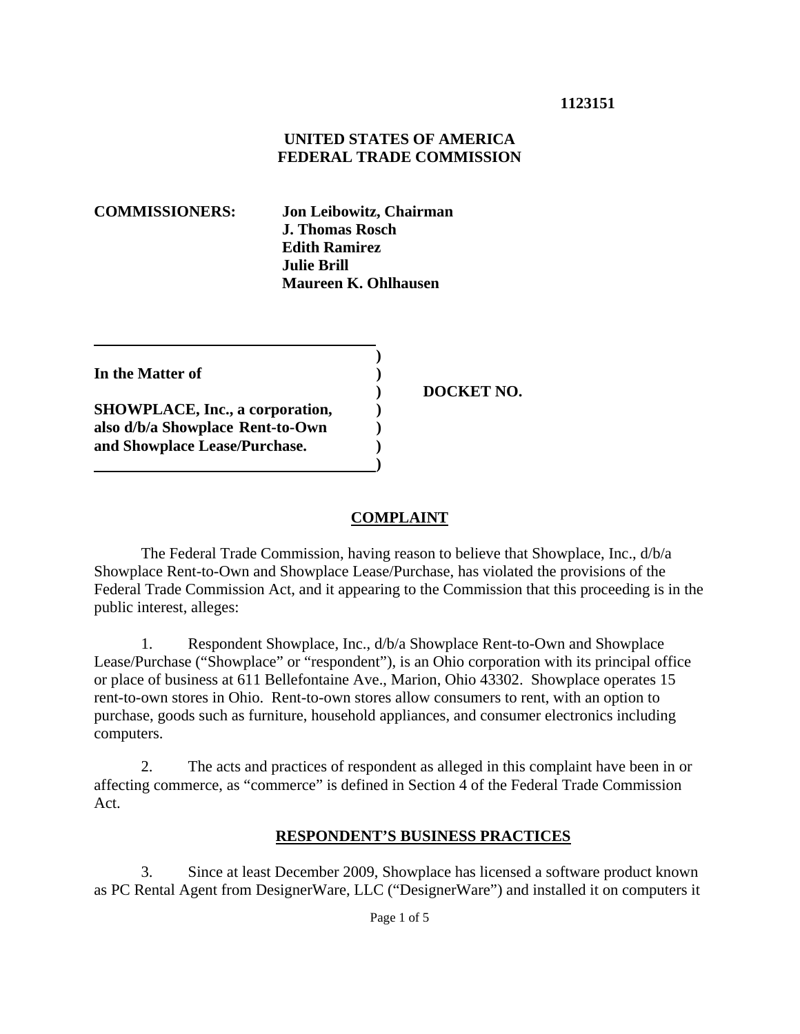### **1123151**

#### **UNITED STATES OF AMERICA FEDERAL TRADE COMMISSION**

**COMMISSIONERS: Jon Leibowitz, Chairman J. Thomas Rosch Edith Ramirez Julie Brill Maureen K. Ohlhausen** 

**In the Matter of )** 

**SHOWPLACE, Inc., a corporation, ) also d/b/a Showplace Rent-to-Own ) and Showplace Lease/Purchase. )** 

 **)** 

**1 (a) (b) (b) (b) (b) (b) (c) (d)** 

 **) DOCKET NO.** 

### **COMPLAINT**

 The Federal Trade Commission, having reason to believe that Showplace, Inc., d/b/a Showplace Rent-to-Own and Showplace Lease/Purchase, has violated the provisions of the Federal Trade Commission Act, and it appearing to the Commission that this proceeding is in the public interest, alleges:

1. Respondent Showplace, Inc., d/b/a Showplace Rent-to-Own and Showplace Lease/Purchase ("Showplace" or "respondent"), is an Ohio corporation with its principal office or place of business at 611 Bellefontaine Ave., Marion, Ohio 43302. Showplace operates 15 rent-to-own stores in Ohio. Rent-to-own stores allow consumers to rent, with an option to purchase, goods such as furniture, household appliances, and consumer electronics including computers.

2. The acts and practices of respondent as alleged in this complaint have been in or affecting commerce, as "commerce" is defined in Section 4 of the Federal Trade Commission Act.

#### **RESPONDENT'S BUSINESS PRACTICES**

3. Since at least December 2009, Showplace has licensed a software product known as PC Rental Agent from DesignerWare, LLC ("DesignerWare") and installed it on computers it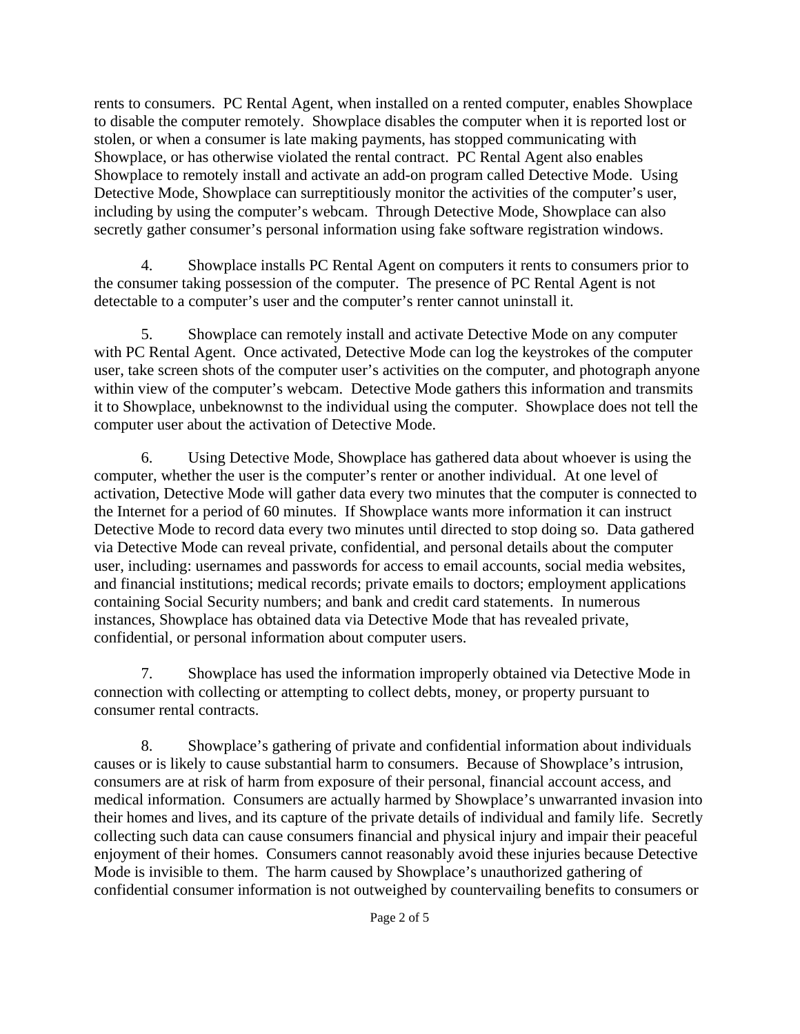rents to consumers. PC Rental Agent, when installed on a rented computer, enables Showplace to disable the computer remotely. Showplace disables the computer when it is reported lost or stolen, or when a consumer is late making payments, has stopped communicating with Showplace, or has otherwise violated the rental contract. PC Rental Agent also enables Showplace to remotely install and activate an add-on program called Detective Mode. Using Detective Mode, Showplace can surreptitiously monitor the activities of the computer's user, including by using the computer's webcam. Through Detective Mode, Showplace can also secretly gather consumer's personal information using fake software registration windows.

4. Showplace installs PC Rental Agent on computers it rents to consumers prior to the consumer taking possession of the computer. The presence of PC Rental Agent is not detectable to a computer's user and the computer's renter cannot uninstall it.

5. Showplace can remotely install and activate Detective Mode on any computer with PC Rental Agent. Once activated, Detective Mode can log the keystrokes of the computer user, take screen shots of the computer user's activities on the computer, and photograph anyone within view of the computer's webcam. Detective Mode gathers this information and transmits it to Showplace, unbeknownst to the individual using the computer. Showplace does not tell the computer user about the activation of Detective Mode.

6. Using Detective Mode, Showplace has gathered data about whoever is using the computer, whether the user is the computer's renter or another individual. At one level of activation, Detective Mode will gather data every two minutes that the computer is connected to the Internet for a period of 60 minutes. If Showplace wants more information it can instruct Detective Mode to record data every two minutes until directed to stop doing so. Data gathered via Detective Mode can reveal private, confidential, and personal details about the computer user, including: usernames and passwords for access to email accounts, social media websites, and financial institutions; medical records; private emails to doctors; employment applications containing Social Security numbers; and bank and credit card statements. In numerous instances, Showplace has obtained data via Detective Mode that has revealed private, confidential, or personal information about computer users.

7. Showplace has used the information improperly obtained via Detective Mode in connection with collecting or attempting to collect debts, money, or property pursuant to consumer rental contracts.

8. Showplace's gathering of private and confidential information about individuals causes or is likely to cause substantial harm to consumers. Because of Showplace's intrusion, consumers are at risk of harm from exposure of their personal, financial account access, and medical information. Consumers are actually harmed by Showplace's unwarranted invasion into their homes and lives, and its capture of the private details of individual and family life. Secretly collecting such data can cause consumers financial and physical injury and impair their peaceful enjoyment of their homes. Consumers cannot reasonably avoid these injuries because Detective Mode is invisible to them. The harm caused by Showplace's unauthorized gathering of confidential consumer information is not outweighed by countervailing benefits to consumers or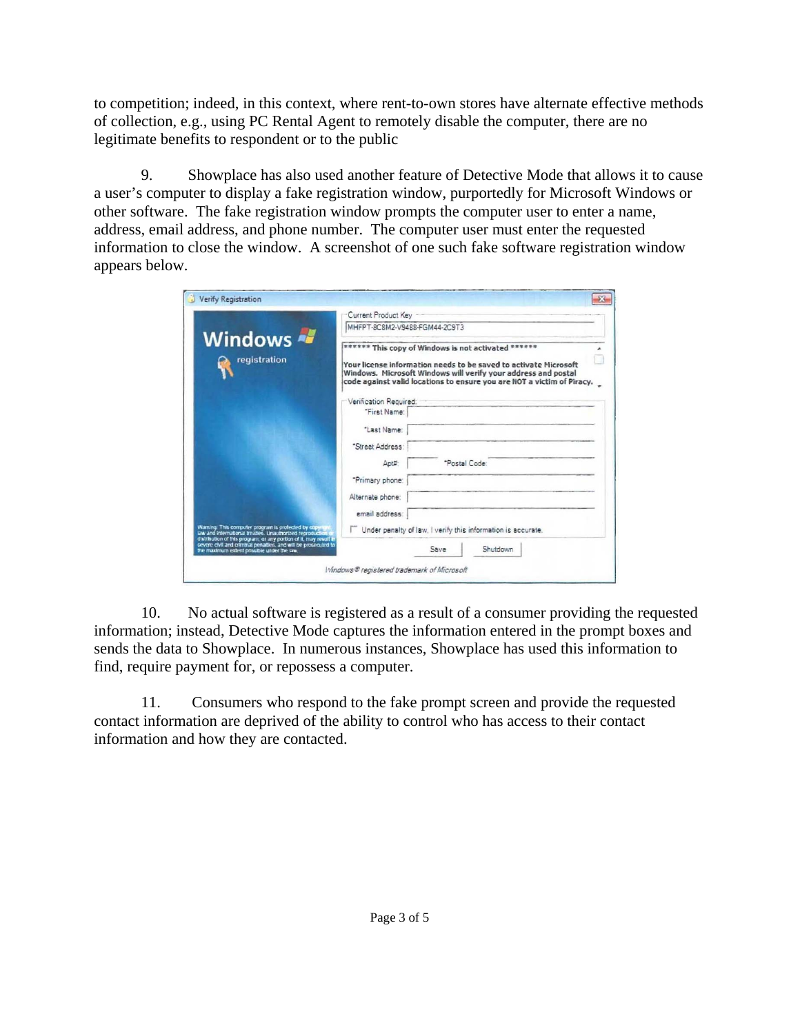to competition; indeed, in this context, where rent-to-own stores have alternate effective methods of collection, e.g., using PC Rental Agent to remotely disable the computer, there are no legitimate benefits to respondent or to the public

9. Showplace has also used another feature of Detective Mode that allows it to cause a user's computer to display a fake registration window, purportedly for Microsoft Windows or other software. The fake registration window prompts the computer user to enter a name, address, email address, and phone number. The computer user must enter the requested information to close the window. A screenshot of one such fake software registration window appears below.

| Windows<br>registration |                                                                                                                                                                                                                                                                                                      | Current Product Key -                                        |          |  |
|-------------------------|------------------------------------------------------------------------------------------------------------------------------------------------------------------------------------------------------------------------------------------------------------------------------------------------------|--------------------------------------------------------------|----------|--|
|                         | MHFPT-8C8M2-V9488-FGM44-2C9T3<br>****** This copy of Windows is not activated ******<br>Your license information needs to be saved to activate Microsoft<br>Windows. Microsoft Windows will verify your address and postal<br>code against valid locations to ensure you are NOT a victim of Piracy. |                                                              |          |  |
|                         |                                                                                                                                                                                                                                                                                                      |                                                              |          |  |
|                         | "First Name:                                                                                                                                                                                                                                                                                         |                                                              |          |  |
|                         | "Last Name:                                                                                                                                                                                                                                                                                          |                                                              |          |  |
|                         | "Street Address:                                                                                                                                                                                                                                                                                     |                                                              |          |  |
|                         | Apt#                                                                                                                                                                                                                                                                                                 | "Postal Code:                                                |          |  |
|                         | "Primary phone:                                                                                                                                                                                                                                                                                      |                                                              |          |  |
|                         | Alternate phone:                                                                                                                                                                                                                                                                                     |                                                              |          |  |
|                         | email address:                                                                                                                                                                                                                                                                                       |                                                              |          |  |
|                         | Waming. This computer program is protected by copyright<br>law and international treaties, Unauthorized reproduction<br>distribution of this program, or any portion of it, may result a                                                                                                             | Under penalty of law, I verify this information is accurate. |          |  |
|                         | severe civil and criminal penalties, and will be prosecuted to                                                                                                                                                                                                                                       | Save                                                         | Shutdown |  |

10. No actual software is registered as a result of a consumer providing the requested information; instead, Detective Mode captures the information entered in the prompt boxes and sends the data to Showplace. In numerous instances, Showplace has used this information to find, require payment for, or repossess a computer.

11. Consumers who respond to the fake prompt screen and provide the requested contact information are deprived of the ability to control who has access to their contact information and how they are contacted.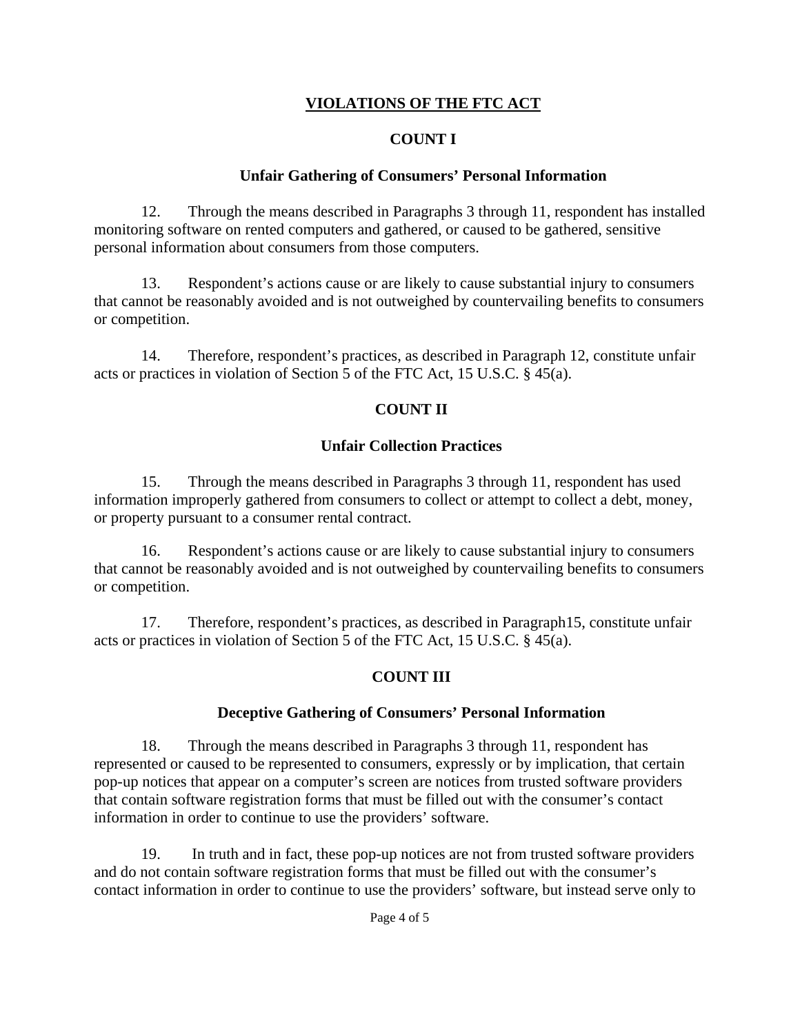# **VIOLATIONS OF THE FTC ACT**

### **COUNT I**

### **Unfair Gathering of Consumers' Personal Information**

12. Through the means described in Paragraphs 3 through 11, respondent has installed monitoring software on rented computers and gathered, or caused to be gathered, sensitive personal information about consumers from those computers.

13. Respondent's actions cause or are likely to cause substantial injury to consumers that cannot be reasonably avoided and is not outweighed by countervailing benefits to consumers or competition.

14. Therefore, respondent's practices, as described in Paragraph 12, constitute unfair acts or practices in violation of Section 5 of the FTC Act, 15 U.S.C. § 45(a).

# **COUNT II**

### **Unfair Collection Practices**

15. Through the means described in Paragraphs 3 through 11, respondent has used information improperly gathered from consumers to collect or attempt to collect a debt, money, or property pursuant to a consumer rental contract.

16. Respondent's actions cause or are likely to cause substantial injury to consumers that cannot be reasonably avoided and is not outweighed by countervailing benefits to consumers or competition.

17. Therefore, respondent's practices, as described in Paragraph15, constitute unfair acts or practices in violation of Section 5 of the FTC Act, 15 U.S.C. § 45(a).

# **COUNT III**

### **Deceptive Gathering of Consumers' Personal Information**

18. Through the means described in Paragraphs 3 through 11, respondent has represented or caused to be represented to consumers, expressly or by implication, that certain pop-up notices that appear on a computer's screen are notices from trusted software providers that contain software registration forms that must be filled out with the consumer's contact information in order to continue to use the providers' software.

19. In truth and in fact, these pop-up notices are not from trusted software providers and do not contain software registration forms that must be filled out with the consumer's contact information in order to continue to use the providers' software, but instead serve only to